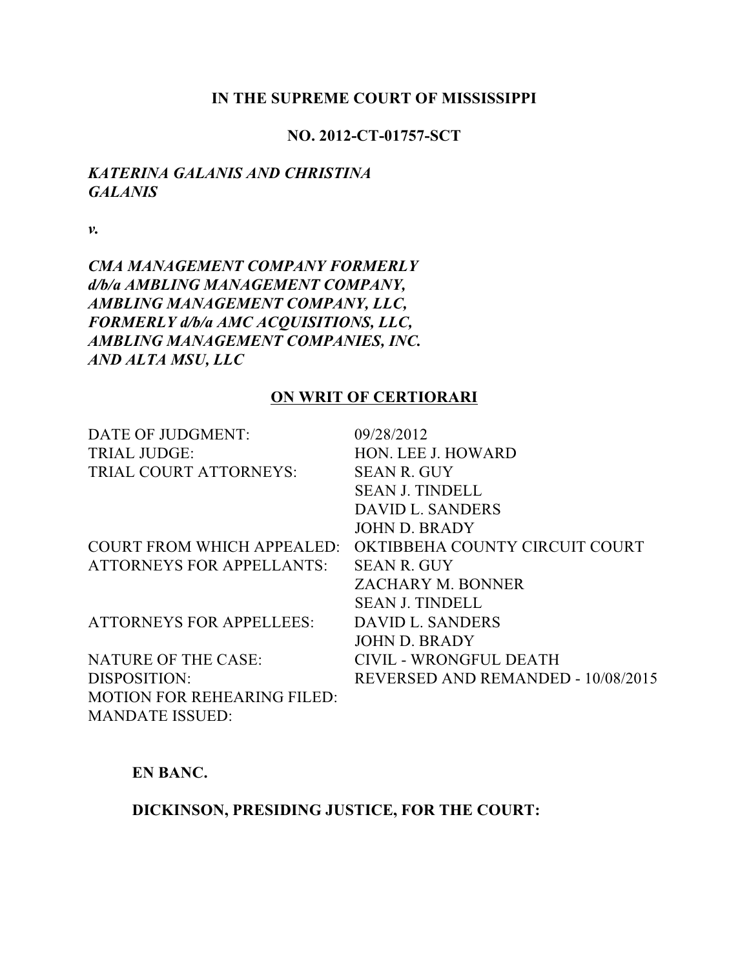### **IN THE SUPREME COURT OF MISSISSIPPI**

### **NO. 2012-CT-01757-SCT**

### *KATERINA GALANIS AND CHRISTINA GALANIS*

*v.*

# *CMA MANAGEMENT COMPANY FORMERLY d/b/a AMBLING MANAGEMENT COMPANY, AMBLING MANAGEMENT COMPANY, LLC, FORMERLY d/b/a AMC ACQUISITIONS, LLC, AMBLING MANAGEMENT COMPANIES, INC. AND ALTA MSU, LLC*

### **ON WRIT OF CERTIORARI**

| DATE OF JUDGMENT:                  | 09/28/2012                         |
|------------------------------------|------------------------------------|
| <b>TRIAL JUDGE:</b>                | HON. LEE J. HOWARD                 |
| TRIAL COURT ATTORNEYS:             | <b>SEAN R. GUY</b>                 |
|                                    | <b>SEAN J. TINDELL</b>             |
|                                    | DAVID L. SANDERS                   |
|                                    | <b>JOHN D. BRADY</b>               |
| <b>COURT FROM WHICH APPEALED:</b>  | OKTIBBEHA COUNTY CIRCUIT COURT     |
| <b>ATTORNEYS FOR APPELLANTS:</b>   | <b>SEAN R. GUY</b>                 |
|                                    | ZACHARY M. BONNER                  |
|                                    | <b>SEAN J. TINDELL</b>             |
| <b>ATTORNEYS FOR APPELLEES:</b>    | <b>DAVID L. SANDERS</b>            |
|                                    | JOHN D. BRADY                      |
| <b>NATURE OF THE CASE:</b>         | CIVIL - WRONGFUL DEATH             |
| DISPOSITION:                       | REVERSED AND REMANDED - 10/08/2015 |
| <b>MOTION FOR REHEARING FILED:</b> |                                    |
| <b>MANDATE ISSUED:</b>             |                                    |
|                                    |                                    |

**EN BANC.**

**DICKINSON, PRESIDING JUSTICE, FOR THE COURT:**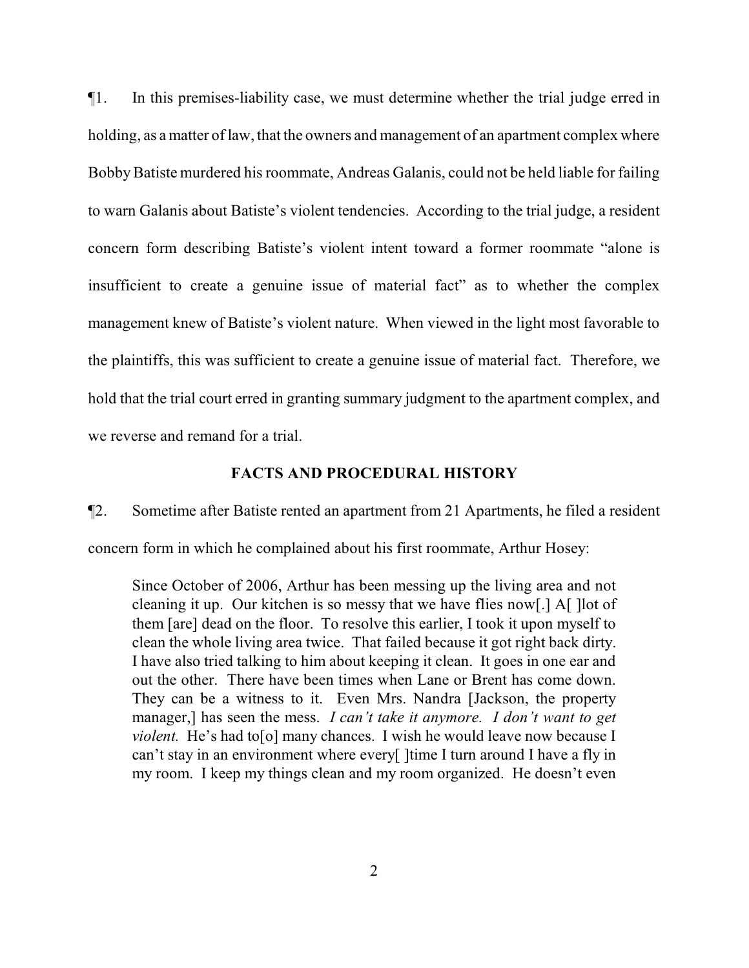¶1. In this premises-liability case, we must determine whether the trial judge erred in holding, as a matter of law, that the owners and management of an apartment complex where BobbyBatiste murdered his roommate, Andreas Galanis, could not be held liable for failing to warn Galanis about Batiste's violent tendencies. According to the trial judge, a resident concern form describing Batiste's violent intent toward a former roommate "alone is insufficient to create a genuine issue of material fact" as to whether the complex management knew of Batiste's violent nature. When viewed in the light most favorable to the plaintiffs, this was sufficient to create a genuine issue of material fact. Therefore, we hold that the trial court erred in granting summary judgment to the apartment complex, and we reverse and remand for a trial.

### **FACTS AND PROCEDURAL HISTORY**

¶2. Sometime after Batiste rented an apartment from 21 Apartments, he filed a resident concern form in which he complained about his first roommate, Arthur Hosey:

Since October of 2006, Arthur has been messing up the living area and not cleaning it up. Our kitchen is so messy that we have flies now[.] A[ ]lot of them [are] dead on the floor. To resolve this earlier, I took it upon myself to clean the whole living area twice. That failed because it got right back dirty. I have also tried talking to him about keeping it clean. It goes in one ear and out the other. There have been times when Lane or Brent has come down. They can be a witness to it. Even Mrs. Nandra [Jackson, the property manager,] has seen the mess. *I can't take it anymore. I don't want to get violent.* He's had to<sup>[o]</sup> many chances. I wish he would leave now because I can't stay in an environment where every[ ]time I turn around I have a fly in my room. I keep my things clean and my room organized. He doesn't even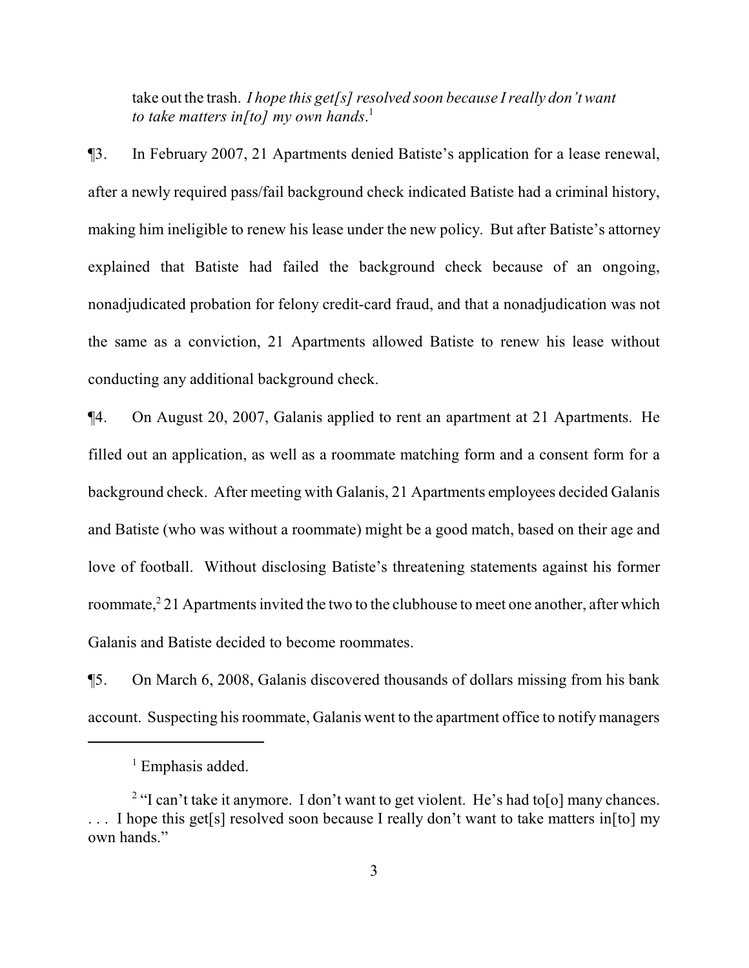take out the trash. *I hope this get[s] resolved soon because I really don't want to take matters in[to] my own hands*. 1

¶3. In February 2007, 21 Apartments denied Batiste's application for a lease renewal, after a newly required pass/fail background check indicated Batiste had a criminal history, making him ineligible to renew his lease under the new policy. But after Batiste's attorney explained that Batiste had failed the background check because of an ongoing, nonadjudicated probation for felony credit-card fraud, and that a nonadjudication was not the same as a conviction, 21 Apartments allowed Batiste to renew his lease without conducting any additional background check.

¶4. On August 20, 2007, Galanis applied to rent an apartment at 21 Apartments. He filled out an application, as well as a roommate matching form and a consent form for a background check. After meeting with Galanis, 21 Apartments employees decided Galanis and Batiste (who was without a roommate) might be a good match, based on their age and love of football. Without disclosing Batiste's threatening statements against his former roommate,<sup>2</sup> 21 Apartments invited the two to the clubhouse to meet one another, after which Galanis and Batiste decided to become roommates.

¶5. On March 6, 2008, Galanis discovered thousands of dollars missing from his bank account. Suspecting his roommate, Galanis went to the apartment office to notifymanagers

<sup>&</sup>lt;sup>1</sup> Emphasis added.

<sup>&</sup>lt;sup>2</sup> "I can't take it anymore. I don't want to get violent. He's had to[o] many chances. ... I hope this get [s] resolved soon because I really don't want to take matters in [to] my own hands."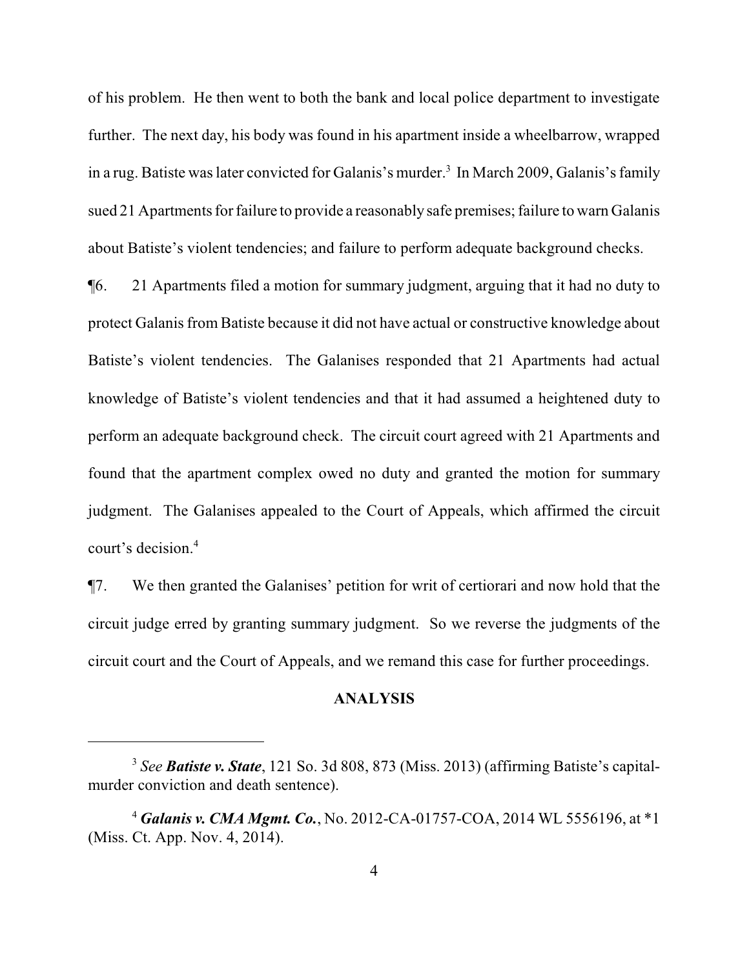of his problem. He then went to both the bank and local police department to investigate further. The next day, his body was found in his apartment inside a wheelbarrow, wrapped in a rug. Batiste was later convicted for Galanis's murder. 3 In March 2009, Galanis's family sued 21 Apartments for failure to provide a reasonably safe premises; failure to warn Galanis about Batiste's violent tendencies; and failure to perform adequate background checks.

¶6. 21 Apartments filed a motion for summary judgment, arguing that it had no duty to protect Galanis from Batiste because it did not have actual or constructive knowledge about Batiste's violent tendencies. The Galanises responded that 21 Apartments had actual knowledge of Batiste's violent tendencies and that it had assumed a heightened duty to perform an adequate background check. The circuit court agreed with 21 Apartments and found that the apartment complex owed no duty and granted the motion for summary judgment. The Galanises appealed to the Court of Appeals, which affirmed the circuit court's decision. 4

¶7. We then granted the Galanises' petition for writ of certiorari and now hold that the circuit judge erred by granting summary judgment. So we reverse the judgments of the circuit court and the Court of Appeals, and we remand this case for further proceedings.

### **ANALYSIS**

<sup>3</sup> *See Batiste v. State*, 121 So. 3d 808, 873 (Miss. 2013) (affirming Batiste's capitalmurder conviction and death sentence).

<sup>4</sup> *Galanis v. CMA Mgmt. Co.*, No. 2012-CA-01757-COA, 2014 WL 5556196, at \*1 (Miss. Ct. App. Nov. 4, 2014).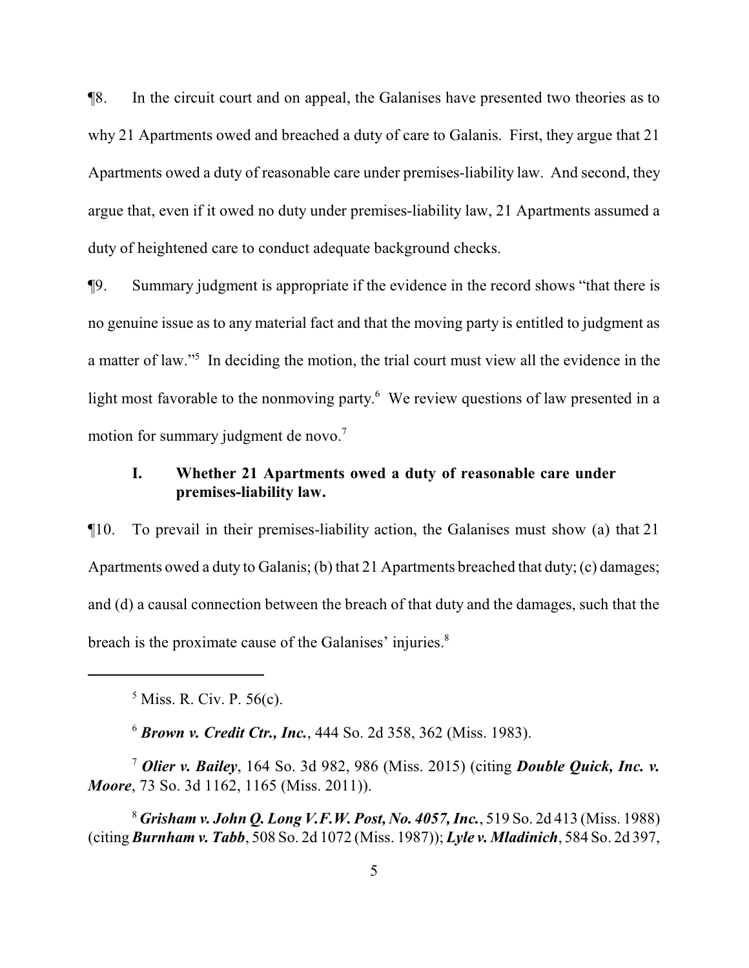¶8. In the circuit court and on appeal, the Galanises have presented two theories as to why 21 Apartments owed and breached a duty of care to Galanis. First, they argue that 21 Apartments owed a duty of reasonable care under premises-liability law. And second, they argue that, even if it owed no duty under premises-liability law, 21 Apartments assumed a duty of heightened care to conduct adequate background checks.

¶9. Summary judgment is appropriate if the evidence in the record shows "that there is no genuine issue as to any material fact and that the moving party is entitled to judgment as a matter of law."<sup>5</sup> In deciding the motion, the trial court must view all the evidence in the light most favorable to the nonmoving party.<sup>6</sup> We review questions of law presented in a motion for summary judgment de novo.<sup>7</sup>

# **I. Whether 21 Apartments owed a duty of reasonable care under premises-liability law.**

¶10. To prevail in their premises-liability action, the Galanises must show (a) that 21 Apartments owed a duty to Galanis; (b) that 21 Apartments breached that duty; (c) damages; and (d) a causal connection between the breach of that duty and the damages, such that the breach is the proximate cause of the Galanises' injuries.<sup>8</sup>

6  *Brown v. Credit Ctr., Inc.*, 444 So. 2d 358, 362 (Miss. 1983).

<sup>7</sup> *Olier v. Bailey*, 164 So. 3d 982, 986 (Miss. 2015) (citing *Double Quick, Inc. v. Moore*, 73 So. 3d 1162, 1165 (Miss. 2011)).

<sup>8</sup> *Grisham v. John Q. Long V.F.W. Post, No. 4057, Inc.*, 519 So. 2d 413 (Miss. 1988) (citing *Burnham v. Tabb*, 508 So. 2d 1072 (Miss. 1987)); *Lyle v. Mladinich*, 584 So. 2d 397,

<sup>5</sup> Miss. R. Civ. P. 56(c).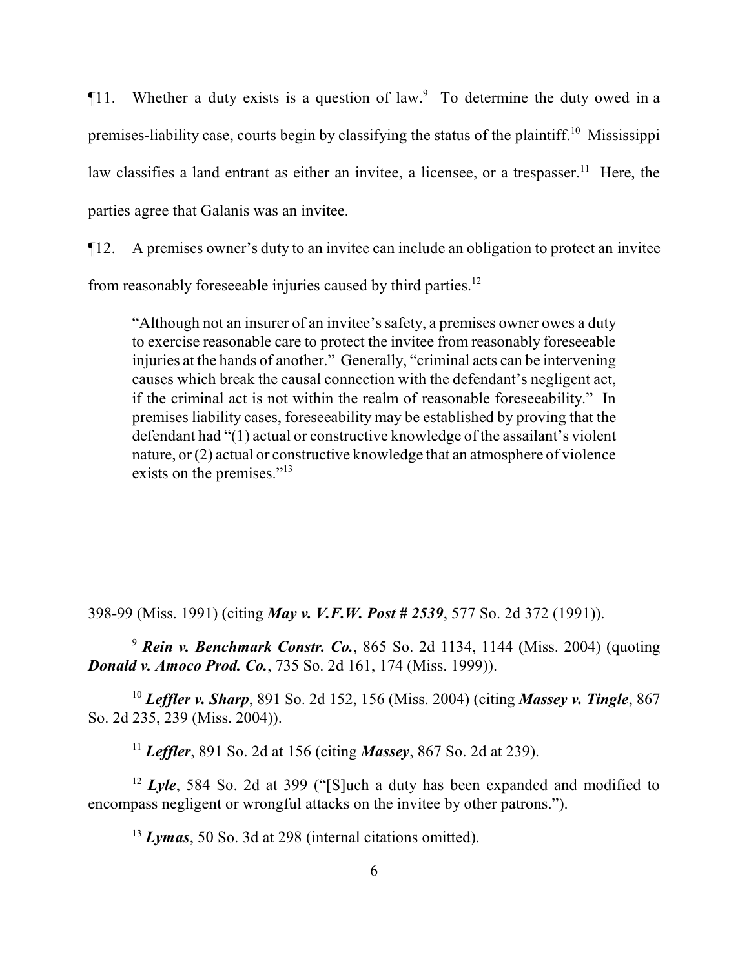¶11. Whether a duty exists is a question of law. <sup>9</sup> To determine the duty owed in a premises-liability case, courts begin by classifying the status of the plaintiff.<sup>10</sup> Mississippi law classifies a land entrant as either an invitee, a licensee, or a trespasser.<sup>11</sup> Here, the parties agree that Galanis was an invitee.

¶12. A premises owner's duty to an invitee can include an obligation to protect an invitee

from reasonably foreseeable injuries caused by third parties.<sup>12</sup>

"Although not an insurer of an invitee's safety, a premises owner owes a duty to exercise reasonable care to protect the invitee from reasonably foreseeable injuries at the hands of another." Generally, "criminal acts can be intervening causes which break the causal connection with the defendant's negligent act, if the criminal act is not within the realm of reasonable foreseeability." In premises liability cases, foreseeability may be established by proving that the defendant had "(1) actual or constructive knowledge of the assailant's violent nature, or(2) actual or constructive knowledge that an atmosphere of violence exists on the premises."<sup>13</sup>

398-99 (Miss. 1991) (citing *May v. V.F.W. Post # 2539*, 577 So. 2d 372 (1991)).

<sup>9</sup> *Rein v. Benchmark Constr. Co.*, 865 So. 2d 1134, 1144 (Miss. 2004) (quoting *Donald v. Amoco Prod. Co.*, 735 So. 2d 161, 174 (Miss. 1999)).

<sup>10</sup> *Leffler v. Sharp*, 891 So. 2d 152, 156 (Miss. 2004) (citing *Massey v. Tingle*, 867 So. 2d 235, 239 (Miss. 2004)).

<sup>11</sup> *Leffler*, 891 So. 2d at 156 (citing *Massey*, 867 So. 2d at 239).

<sup>12</sup> *Lyle*, 584 So. 2d at 399 ("[S]uch a duty has been expanded and modified to encompass negligent or wrongful attacks on the invitee by other patrons.").

<sup>13</sup> *Lymas*, 50 So. 3d at 298 (internal citations omitted).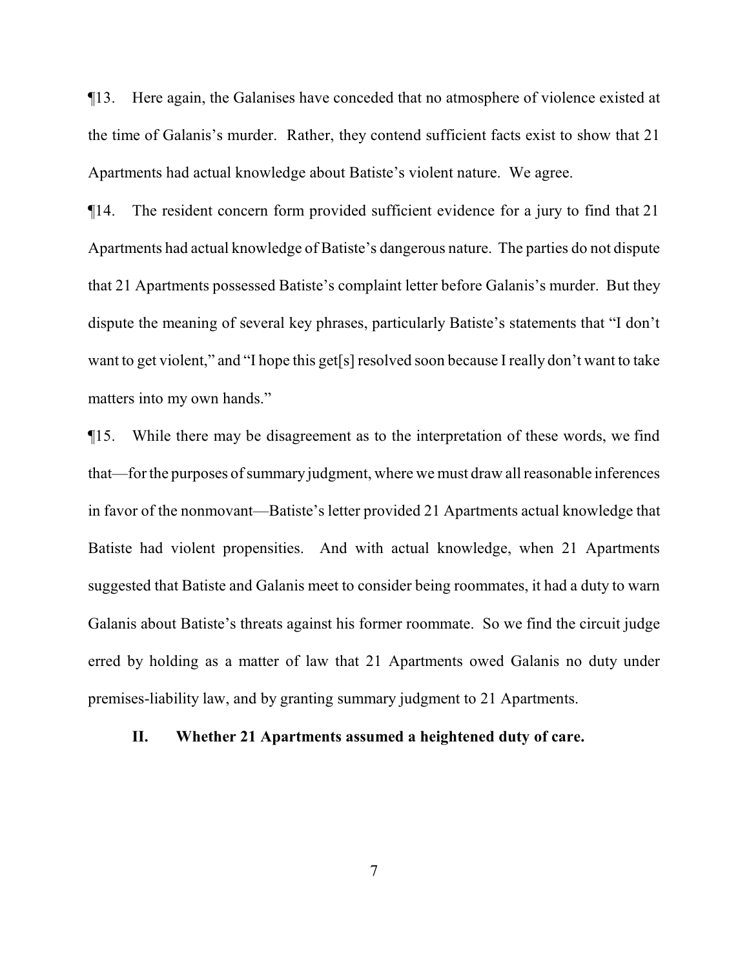¶13. Here again, the Galanises have conceded that no atmosphere of violence existed at the time of Galanis's murder. Rather, they contend sufficient facts exist to show that 21 Apartments had actual knowledge about Batiste's violent nature. We agree.

¶14. The resident concern form provided sufficient evidence for a jury to find that 21 Apartments had actual knowledge of Batiste's dangerous nature. The parties do not dispute that 21 Apartments possessed Batiste's complaint letter before Galanis's murder. But they dispute the meaning of several key phrases, particularly Batiste's statements that "I don't want to get violent," and "I hope this get[s] resolved soon because I really don't want to take matters into my own hands."

¶15. While there may be disagreement as to the interpretation of these words, we find that—for the purposes of summary judgment, where we must draw all reasonable inferences in favor of the nonmovant—Batiste's letter provided 21 Apartments actual knowledge that Batiste had violent propensities. And with actual knowledge, when 21 Apartments suggested that Batiste and Galanis meet to consider being roommates, it had a duty to warn Galanis about Batiste's threats against his former roommate. So we find the circuit judge erred by holding as a matter of law that 21 Apartments owed Galanis no duty under premises-liability law, and by granting summary judgment to 21 Apartments.

### **II. Whether 21 Apartments assumed a heightened duty of care.**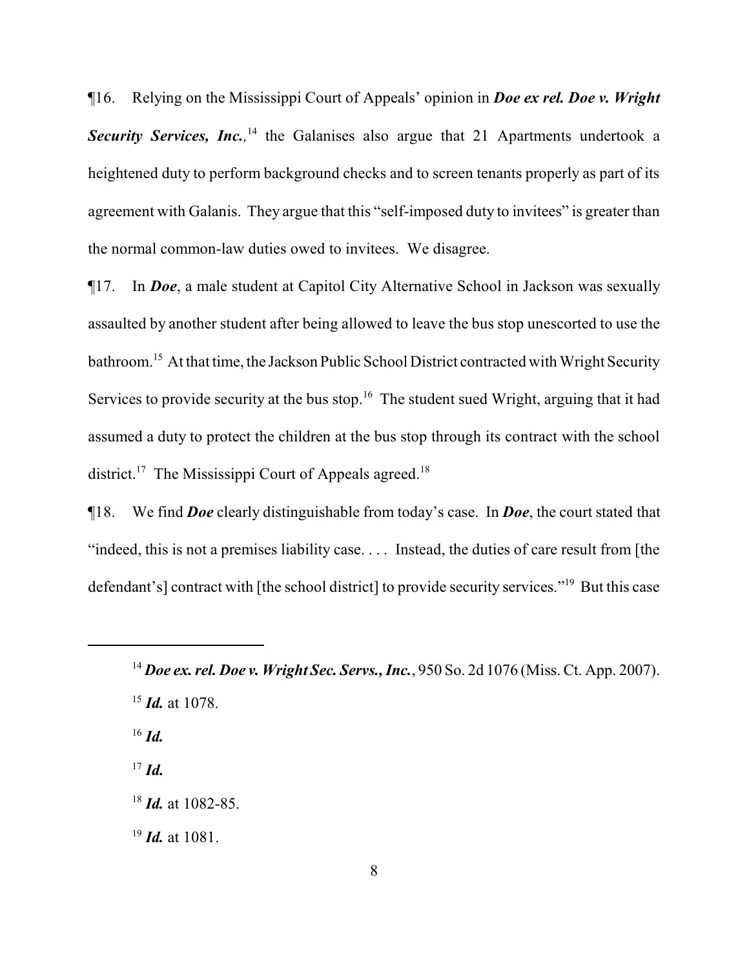¶16. Relying on the Mississippi Court of Appeals' opinion in *Doe ex rel. Doe v. Wright Security Services, Inc.,* <sup>14</sup> the Galanises also argue that 21 Apartments undertook a heightened duty to perform background checks and to screen tenants properly as part of its agreement with Galanis. They argue that this "self-imposed duty to invitees" is greater than the normal common-law duties owed to invitees. We disagree.

¶17. In *Doe*, a male student at Capitol City Alternative School in Jackson was sexually assaulted by another student after being allowed to leave the bus stop unescorted to use the bathroom.<sup>15</sup> At that time, the Jackson Public School District contracted with Wright Security Services to provide security at the bus stop.<sup>16</sup> The student sued Wright, arguing that it had assumed a duty to protect the children at the bus stop through its contract with the school district.<sup>17</sup> The Mississippi Court of Appeals agreed.<sup>18</sup>

¶18. We find *Doe* clearly distinguishable from today's case. In *Doe*, the court stated that "indeed, this is not a premises liability case. . . . Instead, the duties of care result from [the defendant's] contract with [the school district] to provide security services."<sup>19</sup> But this case

<sup>16</sup> *Id.*

<sup>17</sup> *Id.*

<sup>14</sup> *Doe ex. rel. Doe v. Wright Sec. Servs., Inc.*, 950 So. 2d 1076 (Miss. Ct. App. 2007). <sup>15</sup> *Id.* at 1078.

<sup>18</sup> *Id.* at 1082-85.

<sup>19</sup> *Id.* at 1081.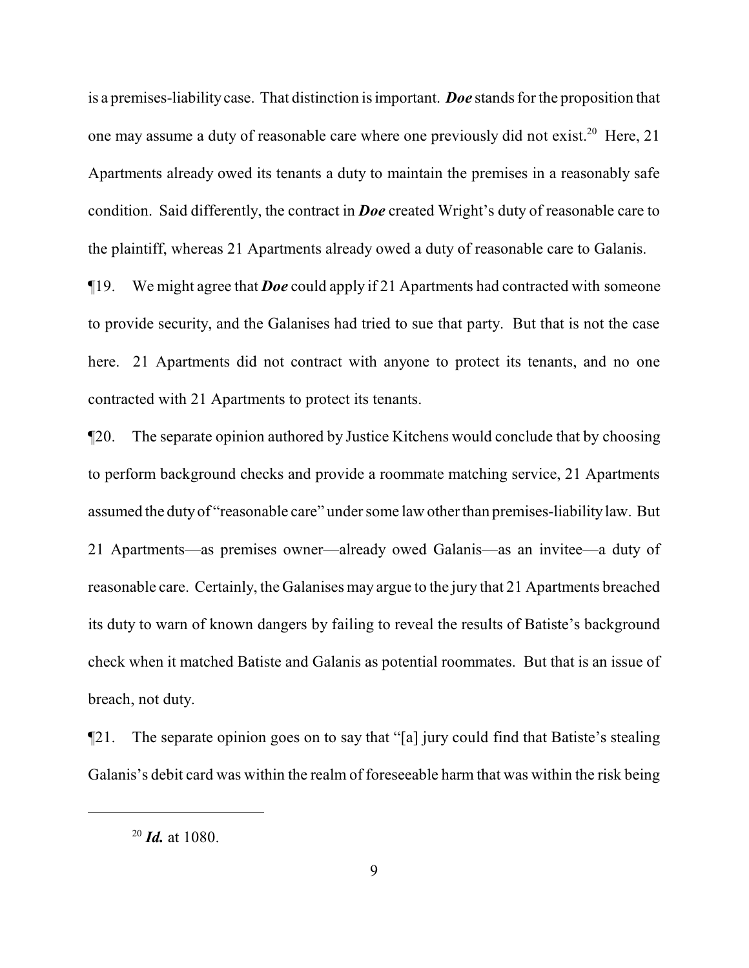is a premises-liabilitycase. That distinction is important. *Doe* stands for the proposition that one may assume a duty of reasonable care where one previously did not exist.<sup>20</sup> Here, 21 Apartments already owed its tenants a duty to maintain the premises in a reasonably safe condition. Said differently, the contract in *Doe* created Wright's duty of reasonable care to the plaintiff, whereas 21 Apartments already owed a duty of reasonable care to Galanis.

¶19. We might agree that *Doe* could apply if 21 Apartments had contracted with someone to provide security, and the Galanises had tried to sue that party. But that is not the case here. 21 Apartments did not contract with anyone to protect its tenants, and no one contracted with 21 Apartments to protect its tenants.

¶20. The separate opinion authored by Justice Kitchens would conclude that by choosing to perform background checks and provide a roommate matching service, 21 Apartments assumed the dutyof "reasonable care" under some law other than premises-liabilitylaw. But 21 Apartments—as premises owner—already owed Galanis—as an invitee—a duty of reasonable care. Certainly, the Galanises may argue to the jury that 21 Apartments breached its duty to warn of known dangers by failing to reveal the results of Batiste's background check when it matched Batiste and Galanis as potential roommates. But that is an issue of breach, not duty.

¶21. The separate opinion goes on to say that "[a] jury could find that Batiste's stealing Galanis's debit card was within the realm of foreseeable harm that was within the risk being

<sup>20</sup> *Id.* at 1080.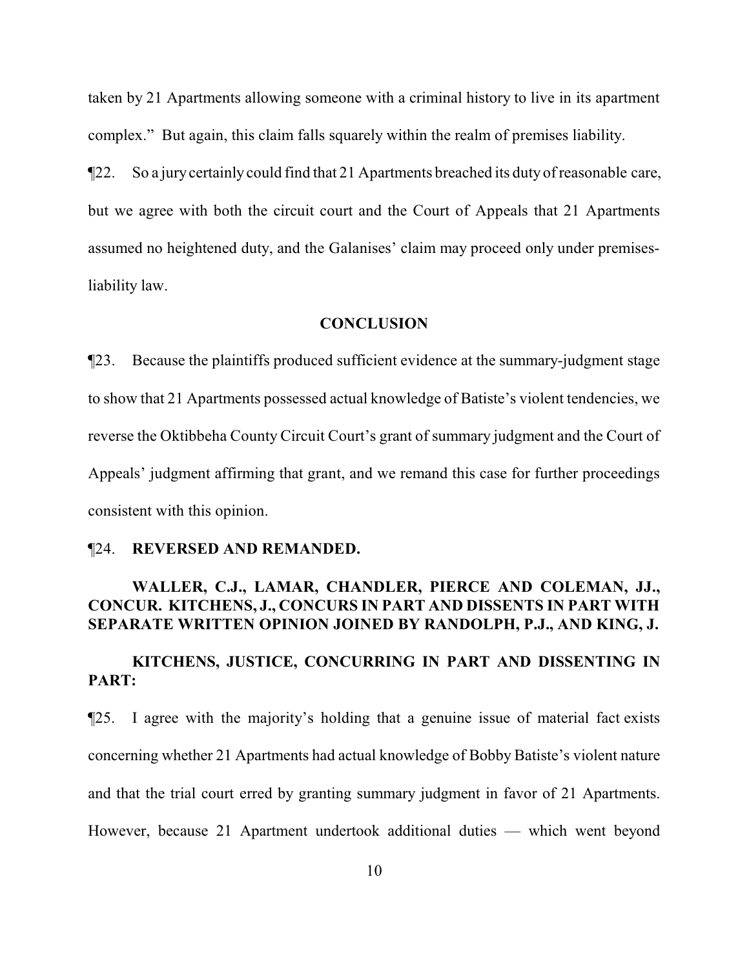taken by 21 Apartments allowing someone with a criminal history to live in its apartment complex." But again, this claim falls squarely within the realm of premises liability.

¶22. So a jurycertainly could find that 21 Apartments breached its duty of reasonable care, but we agree with both the circuit court and the Court of Appeals that 21 Apartments assumed no heightened duty, and the Galanises' claim may proceed only under premisesliability law.

### **CONCLUSION**

¶23. Because the plaintiffs produced sufficient evidence at the summary-judgment stage to show that 21 Apartments possessed actual knowledge of Batiste's violent tendencies, we reverse the Oktibbeha County Circuit Court's grant of summary judgment and the Court of Appeals' judgment affirming that grant, and we remand this case for further proceedings consistent with this opinion.

#### ¶24. **REVERSED AND REMANDED.**

### **WALLER, C.J., LAMAR, CHANDLER, PIERCE AND COLEMAN, JJ., CONCUR. KITCHENS, J., CONCURS IN PART AND DISSENTS IN PART WITH SEPARATE WRITTEN OPINION JOINED BY RANDOLPH, P.J., AND KING, J.**

### **KITCHENS, JUSTICE, CONCURRING IN PART AND DISSENTING IN PART:**

¶25. I agree with the majority's holding that a genuine issue of material fact exists concerning whether 21 Apartments had actual knowledge of Bobby Batiste's violent nature and that the trial court erred by granting summary judgment in favor of 21 Apartments. However, because 21 Apartment undertook additional duties — which went beyond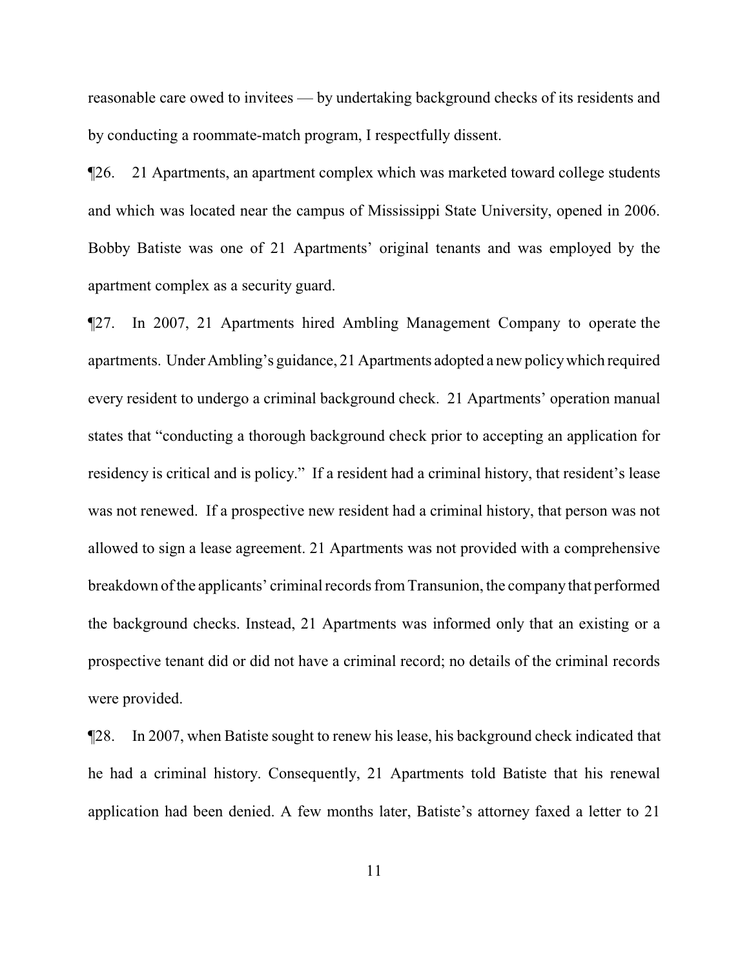reasonable care owed to invitees — by undertaking background checks of its residents and by conducting a roommate-match program, I respectfully dissent.

¶26. 21 Apartments, an apartment complex which was marketed toward college students and which was located near the campus of Mississippi State University, opened in 2006. Bobby Batiste was one of 21 Apartments' original tenants and was employed by the apartment complex as a security guard.

¶27. In 2007, 21 Apartments hired Ambling Management Company to operate the apartments. UnderAmbling's guidance, 21 Apartments adopted a new policywhich required every resident to undergo a criminal background check. 21 Apartments' operation manual states that "conducting a thorough background check prior to accepting an application for residency is critical and is policy." If a resident had a criminal history, that resident's lease was not renewed. If a prospective new resident had a criminal history, that person was not allowed to sign a lease agreement. 21 Apartments was not provided with a comprehensive breakdown ofthe applicants' criminal records fromTransunion, the company that performed the background checks. Instead, 21 Apartments was informed only that an existing or a prospective tenant did or did not have a criminal record; no details of the criminal records were provided.

¶28. In 2007, when Batiste sought to renew his lease, his background check indicated that he had a criminal history. Consequently, 21 Apartments told Batiste that his renewal application had been denied. A few months later, Batiste's attorney faxed a letter to 21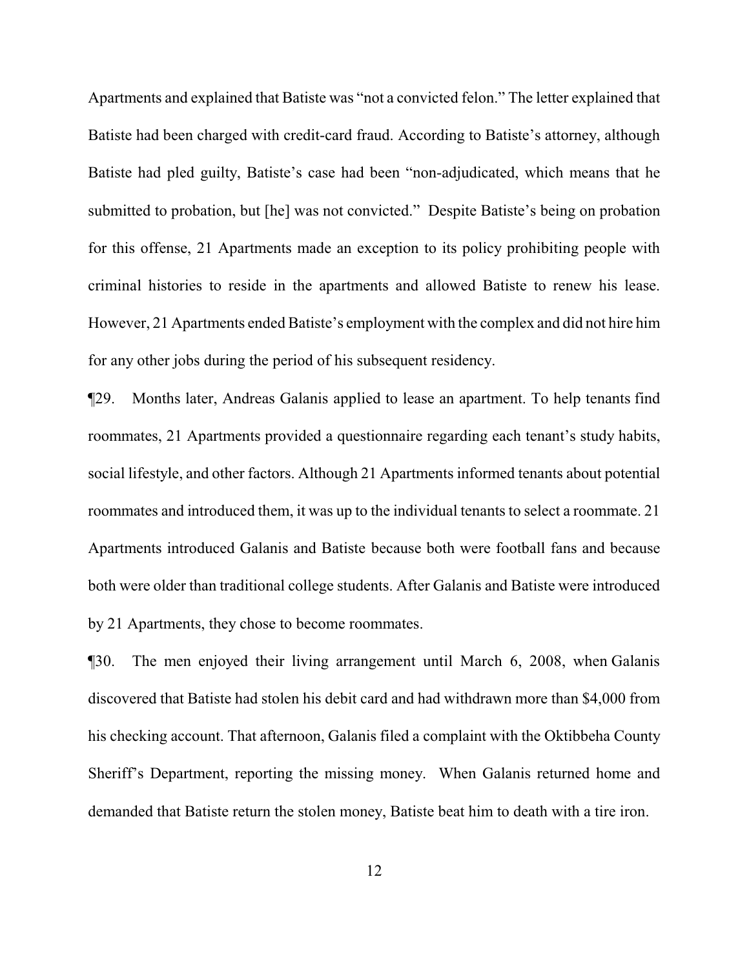Apartments and explained that Batiste was "not a convicted felon." The letter explained that Batiste had been charged with credit-card fraud. According to Batiste's attorney, although Batiste had pled guilty, Batiste's case had been "non-adjudicated, which means that he submitted to probation, but [he] was not convicted." Despite Batiste's being on probation for this offense, 21 Apartments made an exception to its policy prohibiting people with criminal histories to reside in the apartments and allowed Batiste to renew his lease. However, 21 Apartments ended Batiste's employment with the complex and did not hire him for any other jobs during the period of his subsequent residency.

¶29. Months later, Andreas Galanis applied to lease an apartment. To help tenants find roommates, 21 Apartments provided a questionnaire regarding each tenant's study habits, social lifestyle, and other factors. Although 21 Apartments informed tenants about potential roommates and introduced them, it was up to the individual tenants to select a roommate. 21 Apartments introduced Galanis and Batiste because both were football fans and because both were older than traditional college students. After Galanis and Batiste were introduced by 21 Apartments, they chose to become roommates.

¶30. The men enjoyed their living arrangement until March 6, 2008, when Galanis discovered that Batiste had stolen his debit card and had withdrawn more than \$4,000 from his checking account. That afternoon, Galanis filed a complaint with the Oktibbeha County Sheriff's Department, reporting the missing money. When Galanis returned home and demanded that Batiste return the stolen money, Batiste beat him to death with a tire iron.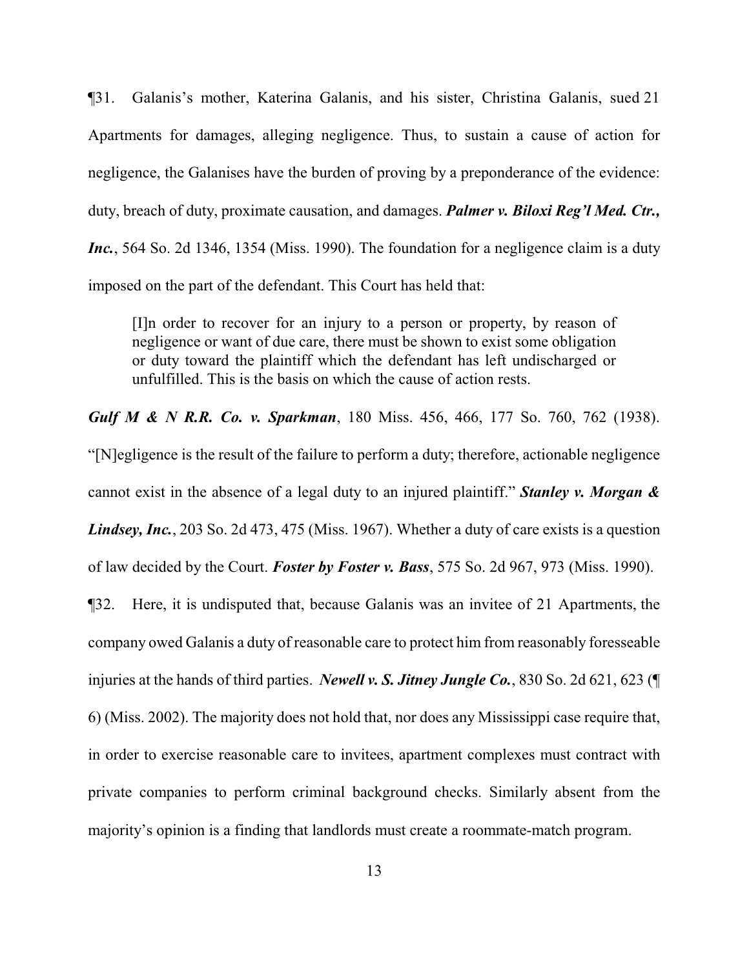¶31. Galanis's mother, Katerina Galanis, and his sister, Christina Galanis, sued 21 Apartments for damages, alleging negligence. Thus, to sustain a cause of action for negligence, the Galanises have the burden of proving by a preponderance of the evidence: duty, breach of duty, proximate causation, and damages. *Palmer v. Biloxi Reg'l Med. Ctr., Inc.*, 564 So. 2d 1346, 1354 (Miss. 1990). The foundation for a negligence claim is a duty imposed on the part of the defendant. This Court has held that:

[I]n order to recover for an injury to a person or property, by reason of negligence or want of due care, there must be shown to exist some obligation or duty toward the plaintiff which the defendant has left undischarged or unfulfilled. This is the basis on which the cause of action rests.

*Gulf M & N R.R. Co. v. Sparkman*, 180 Miss. 456, 466, 177 So. 760, 762 (1938). "[N]egligence is the result of the failure to perform a duty; therefore, actionable negligence cannot exist in the absence of a legal duty to an injured plaintiff." *Stanley v. Morgan & Lindsey, Inc.*, 203 So. 2d 473, 475 (Miss. 1967). Whether a duty of care exists is a question of law decided by the Court. *Foster by Foster v. Bass*, 575 So. 2d 967, 973 (Miss. 1990).

¶32. Here, it is undisputed that, because Galanis was an invitee of 21 Apartments, the company owed Galanis a duty of reasonable care to protect him from reasonably foresseable injuries at the hands of third parties. *Newell v. S. Jitney Jungle Co.*, 830 So. 2d 621, 623 (¶ 6) (Miss. 2002). The majority does not hold that, nor does any Mississippi case require that, in order to exercise reasonable care to invitees, apartment complexes must contract with private companies to perform criminal background checks. Similarly absent from the majority's opinion is a finding that landlords must create a roommate-match program.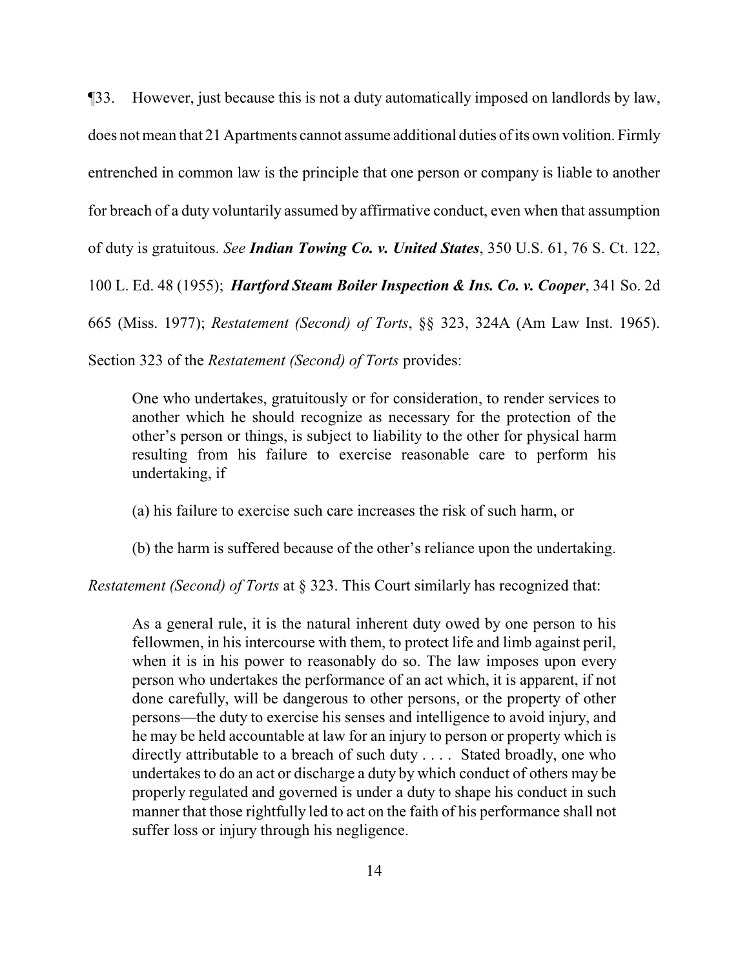¶33. However, just because this is not a duty automatically imposed on landlords by law, does not mean that 21 Apartments cannot assume additional duties of its own volition. Firmly entrenched in common law is the principle that one person or company is liable to another for breach of a duty voluntarily assumed by affirmative conduct, even when that assumption of duty is gratuitous. *See Indian Towing Co. v. United States*, 350 U.S. 61, 76 S. Ct. 122, 100 L. Ed. 48 (1955); *Hartford Steam Boiler Inspection & Ins. Co. v. Cooper*, 341 So. 2d 665 (Miss. 1977); *Restatement (Second) of Torts*, §§ 323, 324A (Am Law Inst. 1965).

Section 323 of the *Restatement (Second) of Torts* provides:

One who undertakes, gratuitously or for consideration, to render services to another which he should recognize as necessary for the protection of the other's person or things, is subject to liability to the other for physical harm resulting from his failure to exercise reasonable care to perform his undertaking, if

(a) his failure to exercise such care increases the risk of such harm, or

(b) the harm is suffered because of the other's reliance upon the undertaking.

*Restatement (Second) of Torts* at § 323. This Court similarly has recognized that:

As a general rule, it is the natural inherent duty owed by one person to his fellowmen, in his intercourse with them, to protect life and limb against peril, when it is in his power to reasonably do so. The law imposes upon every person who undertakes the performance of an act which, it is apparent, if not done carefully, will be dangerous to other persons, or the property of other persons—the duty to exercise his senses and intelligence to avoid injury, and he may be held accountable at law for an injury to person or property which is directly attributable to a breach of such duty . . . . Stated broadly, one who undertakes to do an act or discharge a duty by which conduct of others may be properly regulated and governed is under a duty to shape his conduct in such manner that those rightfully led to act on the faith of his performance shall not suffer loss or injury through his negligence.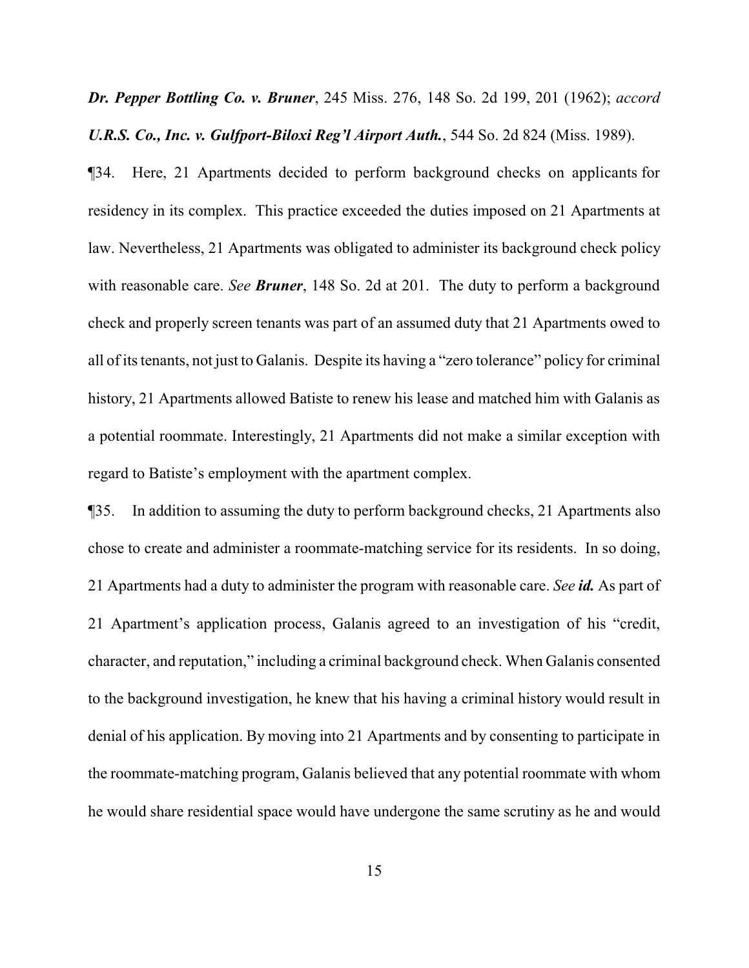*Dr. Pepper Bottling Co. v. Bruner*, 245 Miss. 276, 148 So. 2d 199, 201 (1962); *accord U.R.S. Co., Inc. v. Gulfport-Biloxi Reg'l Airport Auth.*, 544 So. 2d 824 (Miss. 1989).

¶34. Here, 21 Apartments decided to perform background checks on applicants for residency in its complex. This practice exceeded the duties imposed on 21 Apartments at law. Nevertheless, 21 Apartments was obligated to administer its background check policy with reasonable care. *See Bruner*, 148 So. 2d at 201. The duty to perform a background check and properly screen tenants was part of an assumed duty that 21 Apartments owed to all of its tenants, not just to Galanis. Despite its having a "zero tolerance" policy for criminal history, 21 Apartments allowed Batiste to renew his lease and matched him with Galanis as a potential roommate. Interestingly, 21 Apartments did not make a similar exception with regard to Batiste's employment with the apartment complex.

¶35. In addition to assuming the duty to perform background checks, 21 Apartments also chose to create and administer a roommate-matching service for its residents. In so doing, 21 Apartments had a duty to administer the program with reasonable care. *See id.* As part of 21 Apartment's application process, Galanis agreed to an investigation of his "credit, character, and reputation," including a criminal background check. When Galanis consented to the background investigation, he knew that his having a criminal history would result in denial of his application. By moving into 21 Apartments and by consenting to participate in the roommate-matching program, Galanis believed that any potential roommate with whom he would share residential space would have undergone the same scrutiny as he and would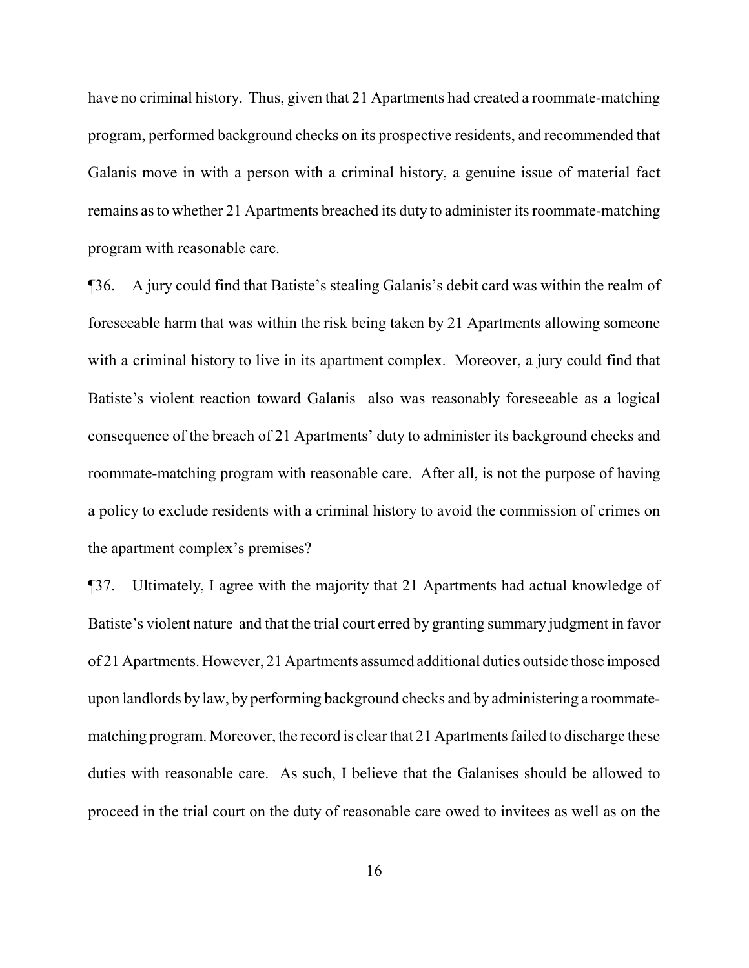have no criminal history. Thus, given that 21 Apartments had created a roommate-matching program, performed background checks on its prospective residents, and recommended that Galanis move in with a person with a criminal history, a genuine issue of material fact remains as to whether 21 Apartments breached its duty to administer its roommate-matching program with reasonable care.

¶36. A jury could find that Batiste's stealing Galanis's debit card was within the realm of foreseeable harm that was within the risk being taken by 21 Apartments allowing someone with a criminal history to live in its apartment complex. Moreover, a jury could find that Batiste's violent reaction toward Galanis also was reasonably foreseeable as a logical consequence of the breach of 21 Apartments' duty to administer its background checks and roommate-matching program with reasonable care. After all, is not the purpose of having a policy to exclude residents with a criminal history to avoid the commission of crimes on the apartment complex's premises?

¶37. Ultimately, I agree with the majority that 21 Apartments had actual knowledge of Batiste's violent nature and that the trial court erred by granting summary judgment in favor of 21 Apartments. However, 21 Apartments assumed additional duties outside those imposed upon landlords by law, by performing background checks and by administering a roommatematching program. Moreover, the record is clear that 21 Apartments failed to discharge these duties with reasonable care. As such, I believe that the Galanises should be allowed to proceed in the trial court on the duty of reasonable care owed to invitees as well as on the